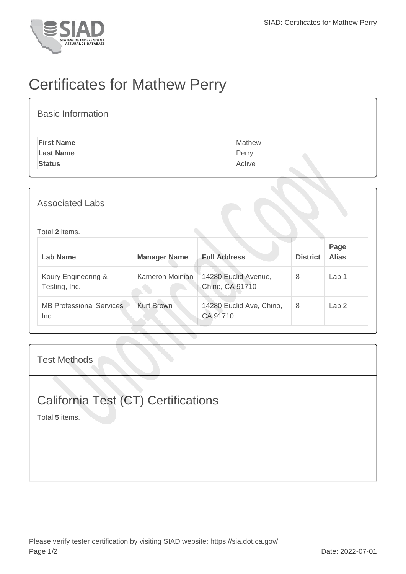

## Certificates for Mathew Perry

| <b>Basic Information</b> |        |
|--------------------------|--------|
| <b>First Name</b>        | Mathew |
| <b>Last Name</b>         | Perry  |
| <b>Status</b>            | Active |

## Total **2** items.

| Lab Name                                | <b>Manager Name</b> | <b>Full Address</b>                     | <b>District</b> | Page<br><b>Alias</b> |
|-----------------------------------------|---------------------|-----------------------------------------|-----------------|----------------------|
| Koury Engineering &<br>Testing, Inc.    | Kameron Moinian     | 14280 Euclid Avenue,<br>Chino, CA 91710 | 8               | Lab <sub>1</sub>     |
| <b>MB Professional Services</b><br>Inc. | <b>Kurt Brown</b>   | 14280 Euclid Ave, Chino,<br>CA 91710    | 8               | Lab <sub>2</sub>     |

Test Methods

## California Test (CT) Certifications

Total **5** items.